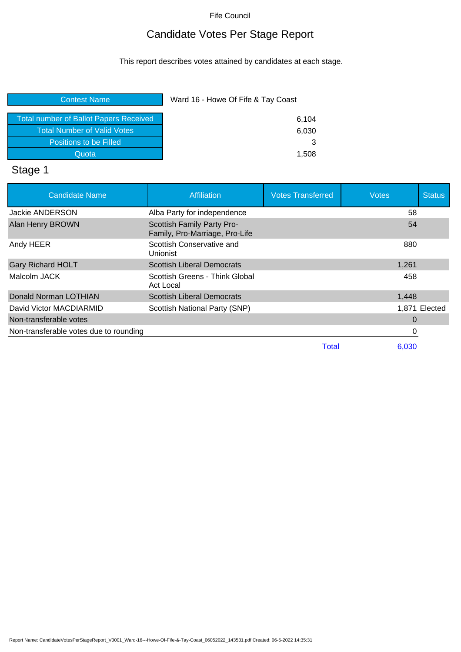# Candidate Votes Per Stage Report

This report describes votes attained by candidates at each stage.

| <b>Contest Name</b>                           | Ward 16 - Howe Of Fife & Tay Coast |  |
|-----------------------------------------------|------------------------------------|--|
| <b>Total number of Ballot Papers Received</b> | 6,104                              |  |
| Total Number of Valid Votes                   | 6,030                              |  |
| Positions to be Filled                        | З                                  |  |
| Quota                                         | 1,508                              |  |
|                                               |                                    |  |

# Stage 1

| <b>Candidate Name</b>                  | Affiliation                                                  | <b>Votes Transferred</b> | <b>Votes</b> | <b>Status</b> |
|----------------------------------------|--------------------------------------------------------------|--------------------------|--------------|---------------|
| Jackie ANDERSON                        | Alba Party for independence                                  |                          | 58           |               |
| Alan Henry BROWN                       | Scottish Family Party Pro-<br>Family, Pro-Marriage, Pro-Life |                          | 54           |               |
| Andy HEER                              | Scottish Conservative and<br>Unionist                        |                          | 880          |               |
| <b>Gary Richard HOLT</b>               | <b>Scottish Liberal Democrats</b>                            |                          | 1,261        |               |
| Malcolm JACK                           | Scottish Greens - Think Global<br>Act Local                  |                          | 458          |               |
| Donald Norman LOTHIAN                  | <b>Scottish Liberal Democrats</b>                            |                          | 1,448        |               |
| David Victor MACDIARMID                | Scottish National Party (SNP)                                |                          |              | 1,871 Elected |
| Non-transferable votes                 |                                                              |                          | 0            |               |
| Non-transferable votes due to rounding |                                                              |                          | 0            |               |
|                                        |                                                              | Total                    | 6.030        |               |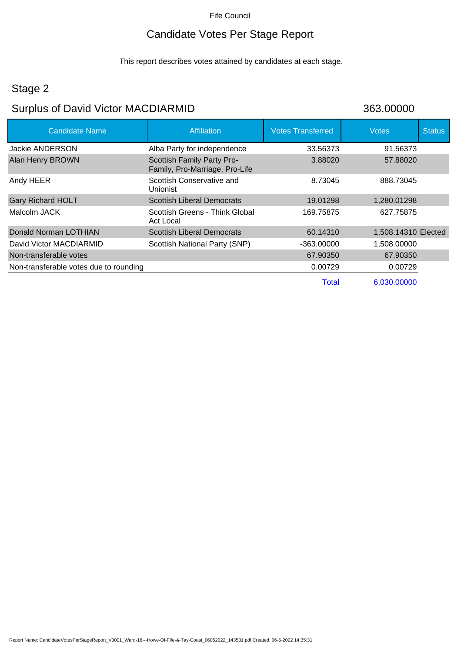## Candidate Votes Per Stage Report

This report describes votes attained by candidates at each stage.

# Stage 2

## Surplus of David Victor MACDIARMID 363.00000

| <b>Candidate Name</b>                  | <b>Affiliation</b>                                           | <b>Votes Transferred</b> | <b>Votes</b>        | <b>Status</b> |
|----------------------------------------|--------------------------------------------------------------|--------------------------|---------------------|---------------|
| Jackie ANDERSON                        | Alba Party for independence                                  | 33.56373                 | 91.56373            |               |
| <b>Alan Henry BROWN</b>                | Scottish Family Party Pro-<br>Family, Pro-Marriage, Pro-Life | 3.88020                  | 57.88020            |               |
| Andy HEER                              | Scottish Conservative and<br>Unionist                        | 8.73045                  | 888.73045           |               |
| <b>Gary Richard HOLT</b>               | <b>Scottish Liberal Democrats</b>                            | 19.01298                 | 1,280.01298         |               |
| Malcolm JACK                           | Scottish Greens - Think Global<br>Act Local                  | 169.75875                | 627.75875           |               |
| Donald Norman LOTHIAN                  | <b>Scottish Liberal Democrats</b>                            | 60.14310                 | 1,508.14310 Elected |               |
| David Victor MACDIARMID                | Scottish National Party (SNP)                                | -363.00000               | 1,508.00000         |               |
| Non-transferable votes                 |                                                              | 67.90350                 | 67.90350            |               |
| Non-transferable votes due to rounding |                                                              | 0.00729                  | 0.00729             |               |
|                                        |                                                              | Total                    | 6,030.00000         |               |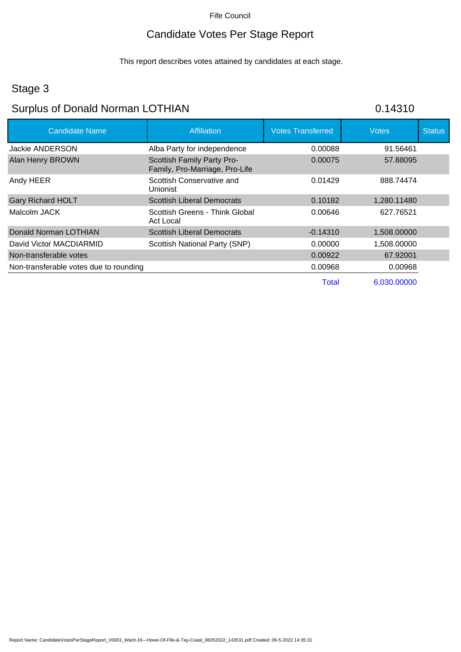# Candidate Votes Per Stage Report

This report describes votes attained by candidates at each stage.

## Stage 3

# Surplus of Donald Norman LOTHIAN 60.14310

| <b>Candidate Name</b>                  | Affiliation                                                  | <b>Votes Transferred</b> | <b>Votes</b> | <b>Status</b> |
|----------------------------------------|--------------------------------------------------------------|--------------------------|--------------|---------------|
| Jackie ANDERSON                        | Alba Party for independence                                  | 0.00088                  | 91.56461     |               |
| Alan Henry BROWN                       | Scottish Family Party Pro-<br>Family, Pro-Marriage, Pro-Life | 0.00075                  | 57.88095     |               |
| Andy HEER                              | Scottish Conservative and<br>Unionist                        | 0.01429                  | 888.74474    |               |
| <b>Gary Richard HOLT</b>               | <b>Scottish Liberal Democrats</b>                            | 0.10182                  | 1,280.11480  |               |
| Malcolm JACK                           | Scottish Greens - Think Global<br>Act Local                  | 0.00646                  | 627.76521    |               |
| Donald Norman LOTHIAN                  | <b>Scottish Liberal Democrats</b>                            | $-0.14310$               | 1,508.00000  |               |
| David Victor MACDIARMID                | Scottish National Party (SNP)                                | 0.00000                  | 1,508.00000  |               |
| Non-transferable votes                 |                                                              | 0.00922                  | 67.92001     |               |
| Non-transferable votes due to rounding |                                                              | 0.00968                  | 0.00968      |               |
|                                        |                                                              | Total                    | 6,030,00000  |               |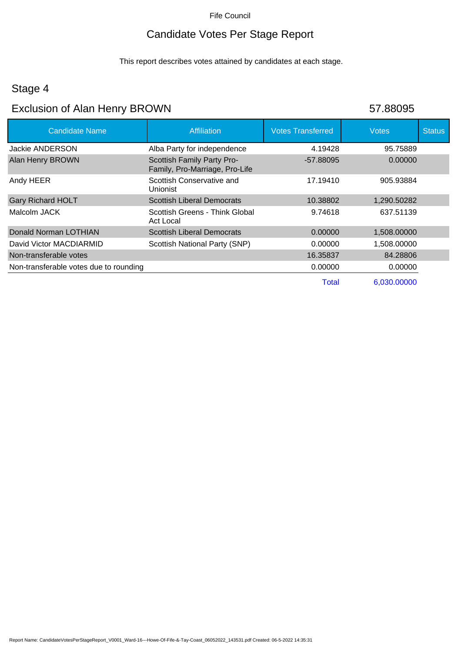### Candidate Votes Per Stage Report

This report describes votes attained by candidates at each stage.

### Stage 4

## Exclusion of Alan Henry BROWN 57.88095

| <b>Candidate Name</b>                  | Affiliation                                                  | <b>Votes Transferred</b> | <b>Votes</b> | <b>Status</b> |
|----------------------------------------|--------------------------------------------------------------|--------------------------|--------------|---------------|
| <b>Jackie ANDERSON</b>                 | Alba Party for independence                                  | 4.19428                  | 95.75889     |               |
| <b>Alan Henry BROWN</b>                | Scottish Family Party Pro-<br>Family, Pro-Marriage, Pro-Life | -57.88095                | 0.00000      |               |
| Andy HEER                              | Scottish Conservative and<br>Unionist                        | 17.19410                 | 905.93884    |               |
| <b>Gary Richard HOLT</b>               | <b>Scottish Liberal Democrats</b>                            | 10.38802                 | 1,290.50282  |               |
| Malcolm JACK                           | Scottish Greens - Think Global<br>Act Local                  | 9.74618                  | 637.51139    |               |
| Donald Norman LOTHIAN                  | <b>Scottish Liberal Democrats</b>                            | 0.00000                  | 1,508.00000  |               |
| David Victor MACDIARMID                | Scottish National Party (SNP)                                | 0.00000                  | 1,508.00000  |               |
| Non-transferable votes                 |                                                              | 16.35837                 | 84.28806     |               |
| Non-transferable votes due to rounding |                                                              | 0.00000                  | 0.00000      |               |
|                                        |                                                              | <b>Total</b>             | 6,030.00000  |               |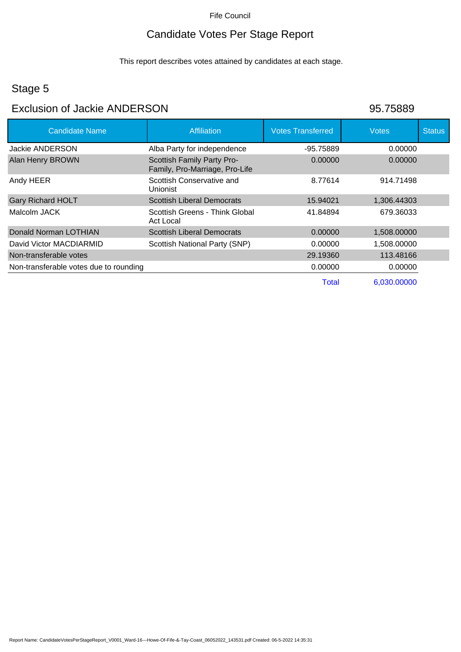# Candidate Votes Per Stage Report

This report describes votes attained by candidates at each stage.

# Stage 5

## Exclusion of Jackie ANDERSON 95.75889

| <b>Candidate Name</b>                  | Affiliation                                                  | <b>Votes Transferred</b> | <b>Votes</b> | <b>Status</b> |
|----------------------------------------|--------------------------------------------------------------|--------------------------|--------------|---------------|
| <b>Jackie ANDERSON</b>                 | Alba Party for independence                                  | -95.75889                | 0.00000      |               |
| <b>Alan Henry BROWN</b>                | Scottish Family Party Pro-<br>Family, Pro-Marriage, Pro-Life | 0.00000                  | 0.00000      |               |
| Andy HEER                              | Scottish Conservative and<br>Unionist                        | 8.77614                  | 914.71498    |               |
| <b>Gary Richard HOLT</b>               | <b>Scottish Liberal Democrats</b>                            | 15.94021                 | 1,306.44303  |               |
| Malcolm JACK                           | Scottish Greens - Think Global<br>Act Local                  | 41.84894                 | 679.36033    |               |
| Donald Norman LOTHIAN                  | <b>Scottish Liberal Democrats</b>                            | 0.00000                  | 1,508.00000  |               |
| David Victor MACDIARMID                | Scottish National Party (SNP)                                | 0.00000                  | 1,508.00000  |               |
| Non-transferable votes                 |                                                              | 29.19360                 | 113.48166    |               |
| Non-transferable votes due to rounding |                                                              | 0.00000                  | 0.00000      |               |
|                                        |                                                              | Total                    | 6,030.00000  |               |